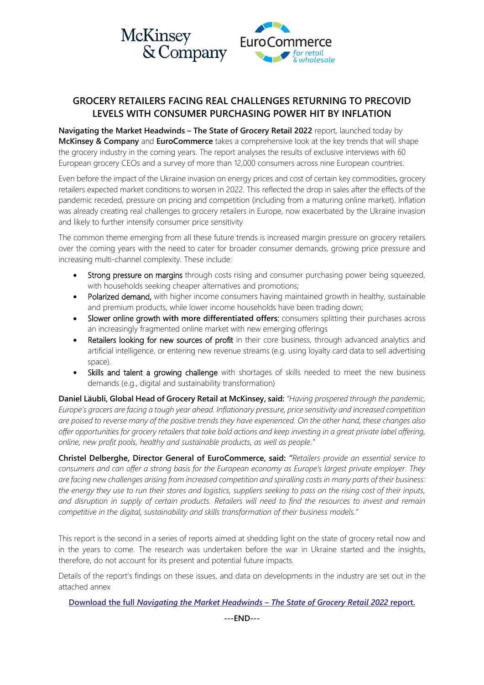

# **GROCERY RETAILERS FACING REAL CHALLENGES RETURNING TO PRECOVID LEVELS WITH CONSUMER PURCHASING POWER HIT BY INFLATION**

**Navigating the Market Headwinds – The State of Grocery Retail 2022** report, launched today by **McKinsey & Company** and **EuroCommerce** takes a comprehensive look at the key trends that will shape the grocery industry in the coming years. The report analyses the results of exclusive interviews with 60 European grocery CEOs and a survey of more than 12,000 consumers across nine European countries.

Even before the impact of the Ukraine invasion on energy prices and cost of certain key commodities, grocery retailers expected market conditions to worsen in 2022. This reflected the drop in sales after the effects of the pandemic receded, pressure on pricing and competition (including from a maturing online market). Inflation was already creating real challenges to grocery retailers in Europe, now exacerbated by the Ukraine invasion and likely to further intensify consumer price sensitivity

The common theme emerging from all these future trends is increased margin pressure on grocery retailers over the coming years with the need to cater for broader consumer demands, growing price pressure and increasing multi-channel complexity. These include:

- Strong pressure on margins through costs rising and consumer purchasing power being squeezed, with households seeking cheaper alternatives and promotions;
- Polarized demand, with higher income consumers having maintained growth in healthy, sustainable and premium products, while lower income households have been trading down;
- Slower online growth **with more differentiated offers**: consumers splitting their purchases across an increasingly fragmented online market with new emerging offerings
- Retailers looking for new sources of profit in their core business, through advanced analytics and artificial intelligence, or entering new revenue streams (e.g. using loyalty card data to sell advertising space).
- Skills and talent a growing challenge with shortages of skills needed to meet the new business demands (e.g., digital and sustainability transformation)

**Daniel Läubli, Global Head of Grocery Retail at McKinsey, said:** *"Having prospered through the pandemic, Europe's grocers are facing a tough year ahead. Inflationary pressure, price sensitivity and increased competition are poised to reverse many of the positive trends they have experienced. On the other hand, these changes also offer opportunities for grocery retailers that take bold actions and keep investing in a great private label offering, online, new profit pools, healthy and sustainable products, as well as people."*

**Christel Delberghe, Director General of EuroCommerce, said:** *"Retailers provide an essential service to consumers and can offer a strong basis for the European economy as Europe's largest private employer. They are facing new challenges arising from increased competition and spiralling costs in many parts of their business: the energy they use to run their stores and logistics, suppliers seeking to pass on the rising cost of their inputs, and disruption in supply of certain products. Retailers will need to find the resources to invest and remain competitive in the digital, sustainability and skills transformation of their business models."* 

This report is the second in a series of reports aimed at shedding light on the state of grocery retail now and in the years to come. The research was undertaken before the war in Ukraine started and the insights, therefore, do not account for its present and potential future impacts.

Details of the report's findings on these issues, and data on developments in the industry are set out in the attached annex

#### **Download the full** *[Navigating the Market Headwinds](https://www.eurocommerce.eu/retail-and-wholesale-in-europe/navigating-the-market-headwinds-the-state-of-grocery-retail-2022.aspx) – The* **S***tate of Grocery Retail 2022* **report.**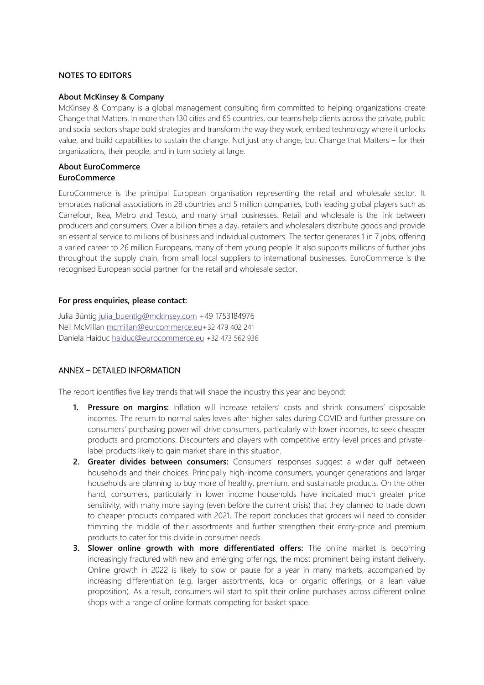### **NOTES TO EDITORS**

#### **About McKinsey & Company**

McKinsey & Company is a global management consulting firm committed to helping organizations create Change that Matters. In more than 130 cities and 65 countries, our teams help clients across the private, public and social sectors shape bold strategies and transform the way they work, embed technology where it unlocks value, and build capabilities to sustain the change. Not just any change, but Change that Matters – for their organizations, their people, and in turn society at large.

#### **About EuroCommerce EuroCommerce**

EuroCommerce is the principal European organisation representing the retail and wholesale sector. It embraces national associations in 28 countries and 5 million companies, both leading global players such as Carrefour, Ikea, Metro and Tesco, and many small businesses. Retail and wholesale is the link between producers and consumers. Over a billion times a day, retailers and wholesalers distribute goods and provide an essential service to millions of business and individual customers. The sector generates 1 in 7 jobs, offering a varied career to 26 million Europeans, many of them young people. It also supports millions of further jobs throughout the supply chain, from small local suppliers to international businesses. EuroCommerce is the recognised European social partner for the retail and wholesale sector.

#### **For press enquiries, please contact:**

Julia Büntig [julia\\_buentig@mckinsey.com](mailto:julia_buentig@mckinsey.com) +49 1753184976 Neil McMillan [mcmillan@eurcommerce.eu+](mailto:mcmillan@eurcommerce.eu)32 479 402 241 Daniela Haiduc [haiduc@eurocommerce.eu](mailto:haiduc@eurocommerce.eu) +32 473 562 936

## ANNEX – DETAILED INFORMATION

The report identifies five key trends that will shape the industry this year and beyond:

- **1. Pressure on margins:** Inflation will increase retailers' costs and shrink consumers' disposable incomes. The return to normal sales levels after higher sales during COVID and further pressure on consumers' purchasing power will drive consumers, particularly with lower incomes, to seek cheaper products and promotions. Discounters and players with competitive entry-level prices and privatelabel products likely to gain market share in this situation.
- **2. Greater divides between consumers:** Consumers' responses suggest a wider gulf between households and their choices. Principally high-income consumers, younger generations and larger households are planning to buy more of healthy, premium, and sustainable products. On the other hand, consumers, particularly in lower income households have indicated much greater price sensitivity, with many more saying (even before the current crisis) that they planned to trade down to cheaper products compared with 2021. The report concludes that grocers will need to consider trimming the middle of their assortments and further strengthen their entry-price and premium products to cater for this divide in consumer needs.
- **3. Slower online growth with more differentiated offers:** The online market is becoming increasingly fractured with new and emerging offerings, the most prominent being instant delivery. Online growth in 2022 is likely to slow or pause for a year in many markets, accompanied by increasing differentiation (e.g. larger assortments, local or organic offerings, or a lean value proposition). As a result, consumers will start to split their online purchases across different online shops with a range of online formats competing for basket space.